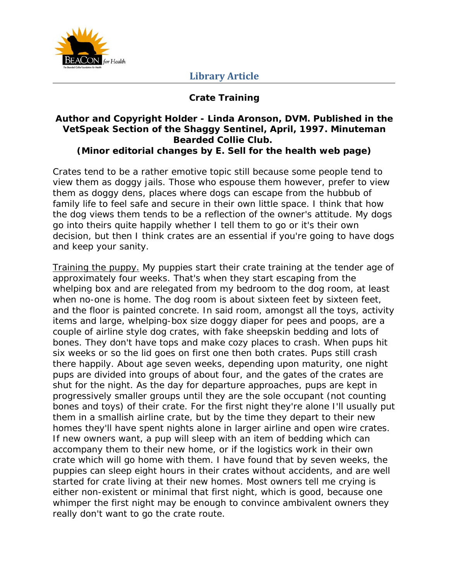

## **Library Article**

### **Crate Training**

#### **Author and Copyright Holder - Linda Aronson, DVM. Published in the VetSpeak Section of the Shaggy Sentinel, April, 1997. Minuteman Bearded Collie Club. (Minor editorial changes by E. Sell for the health web page)**

Crates tend to be a rather emotive topic still because some people tend to view them as doggy jails. Those who espouse them however, prefer to view them as doggy dens, places where dogs can escape from the hubbub of family life to feel safe and secure in their own little space. I think that how the dog views them tends to be a reflection of the owner's attitude. My dogs go into theirs quite happily whether I tell them to go or it's their own decision, but then I think crates are an essential if you're going to have dogs and keep your sanity.

Training the puppy. My puppies start their crate training at the tender age of approximately four weeks. That's when they start escaping from the whelping box and are relegated from my bedroom to the dog room, at least when no-one is home. The dog room is about sixteen feet by sixteen feet, and the floor is painted concrete. In said room, amongst all the toys, activity items and large, whelping-box size doggy diaper for pees and poops, are a couple of airline style dog crates, with fake sheepskin bedding and lots of bones. They don't have tops and make cozy places to crash. When pups hit six weeks or so the lid goes on first one then both crates. Pups still crash there happily. About age seven weeks, depending upon maturity, one night pups are divided into groups of about four, and the gates of the crates are shut for the night. As the day for departure approaches, pups are kept in progressively smaller groups until they are the sole occupant (not counting bones and toys) of their crate. For the first night they're alone I'll usually put them in a smallish airline crate, but by the time they depart to their new homes they'll have spent nights alone in larger airline and open wire crates. If new owners want, a pup will sleep with an item of bedding which can accompany them to their new home, or if the logistics work in their own crate which will go home with them. I have found that by seven weeks, the puppies can sleep eight hours in their crates without accidents, and are well started for crate living at their new homes. Most owners tell me crying is either non-existent or minimal that first night, which is good, because one whimper the first night may be enough to convince ambivalent owners they really don't want to go the crate route.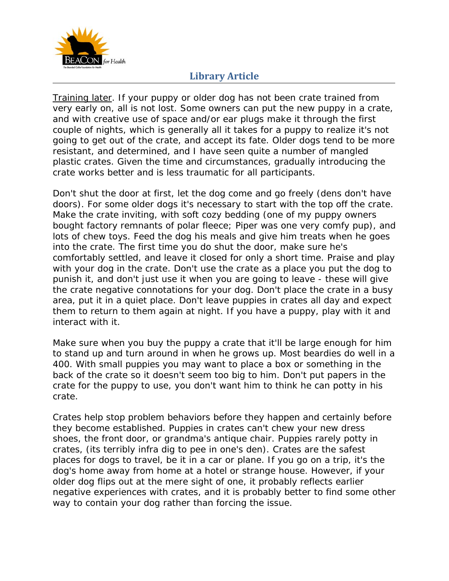

# **Library Article**

Training later. If your puppy or older dog has not been crate trained from very early on, all is not lost. Some owners can put the new puppy in a crate, and with creative use of space and/or ear plugs make it through the first couple of nights, which is generally all it takes for a puppy to realize it's not going to get out of the crate, and accept its fate. Older dogs tend to be more resistant, and determined, and I have seen quite a number of mangled plastic crates. Given the time and circumstances, gradually introducing the crate works better and is less traumatic for all participants.

Don't shut the door at first, let the dog come and go freely (dens don't have doors). For some older dogs it's necessary to start with the top off the crate. Make the crate inviting, with soft cozy bedding (one of my puppy owners bought factory remnants of polar fleece; Piper was one very comfy pup), and lots of chew toys. Feed the dog his meals and give him treats when he goes into the crate. The first time you do shut the door, make sure he's comfortably settled, and leave it closed for only a short time. Praise and play with your dog in the crate. Don't use the crate as a place you put the dog to punish it, and don't just use it when you are going to leave - these will give the crate negative connotations for your dog. Don't place the crate in a busy area, put it in a quiet place. Don't leave puppies in crates all day and expect them to return to them again at night. If you have a puppy, play with it and interact with it.

Make sure when you buy the puppy a crate that it'll be large enough for him to stand up and turn around in when he grows up. Most beardies do well in a 400. With small puppies you may want to place a box or something in the back of the crate so it doesn't seem too big to him. Don't put papers in the crate for the puppy to use, you don't want him to think he can potty in his crate.

Crates help stop problem behaviors before they happen and certainly before they become established. Puppies in crates can't chew your new dress shoes, the front door, or grandma's antique chair. Puppies rarely potty in crates, (its terribly *infra dig* to pee in one's den). Crates are the safest places for dogs to travel, be it in a car or plane. If you go on a trip, it's the dog's home away from home at a hotel or strange house. However, if your older dog flips out at the mere sight of one, it probably reflects earlier negative experiences with crates, and it is probably better to find some other way to contain your dog rather than forcing the issue.